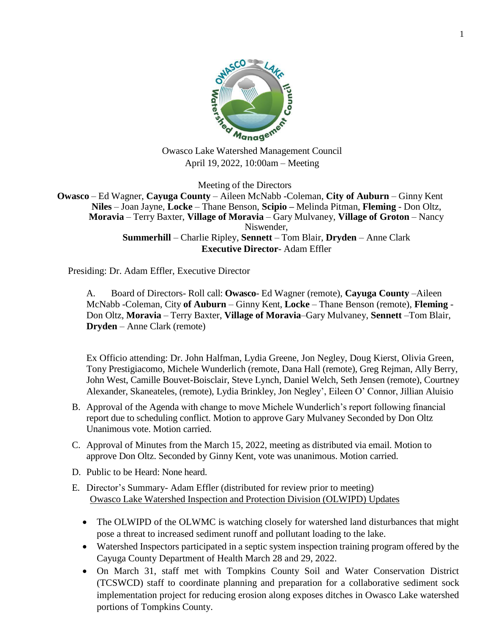

April 19, 2022, 10:00am – Meeting

Meeting of the Directors **Owasco** – Ed Wagner, **Cayuga County** – Aileen McNabb -Coleman, **City of Auburn** – Ginny Kent **Niles** – Joan Jayne, **Locke** – Thane Benson, **Scipio –** Melinda Pitman, **Fleming** - Don Oltz, **Moravia** – Terry Baxter, **Village of Moravia** – Gary Mulvaney, **Village of Groton** – Nancy Niswender, **Summerhill** – Charlie Ripley, **Sennett** – Tom Blair, **Dryden** – Anne Clark **Executive Director**- Adam Effler

Presiding: Dr. Adam Effler, Executive Director

A. Board of Directors- Roll call: **Owasco**- Ed Wagner (remote), **Cayuga County** –Aileen McNabb -Coleman, City **of Auburn** – Ginny Kent, **Locke** – Thane Benson (remote), **Fleming** - Don Oltz, **Moravia** – Terry Baxter, **Village of Moravia**–Gary Mulvaney, **Sennett** –Tom Blair, **Dryden** – Anne Clark (remote)

Ex Officio attending: Dr. John Halfman, Lydia Greene, Jon Negley, Doug Kierst, Olivia Green, Tony Prestigiacomo, Michele Wunderlich (remote, Dana Hall (remote), Greg Rejman, Ally Berry, John West, Camille Bouvet-Boisclair, Steve Lynch, Daniel Welch, Seth Jensen (remote), Courtney Alexander, Skaneateles, (remote), Lydia Brinkley, Jon Negley', Eileen O' Connor, Jillian Aluisio

- B. Approval of the Agenda with change to move Michele Wunderlich's report following financial report due to scheduling conflict. Motion to approve Gary Mulvaney Seconded by Don Oltz Unanimous vote. Motion carried.
- C. Approval of Minutes from the March 15, 2022, meeting as distributed via email. Motion to approve Don Oltz. Seconded by Ginny Kent, vote was unanimous. Motion carried.
- D. Public to be Heard: None heard.
- E. Director's Summary- Adam Effler (distributed for review prior to meeting) Owasco Lake Watershed Inspection and Protection Division (OLWIPD) Updates
	- The OLWIPD of the OLWMC is watching closely for watershed land disturbances that might pose a threat to increased sediment runoff and pollutant loading to the lake.
	- Watershed Inspectors participated in a septic system inspection training program offered by the Cayuga County Department of Health March 28 and 29, 2022.
	- On March 31, staff met with Tompkins County Soil and Water Conservation District (TCSWCD) staff to coordinate planning and preparation for a collaborative sediment sock implementation project for reducing erosion along exposes ditches in Owasco Lake watershed portions of Tompkins County.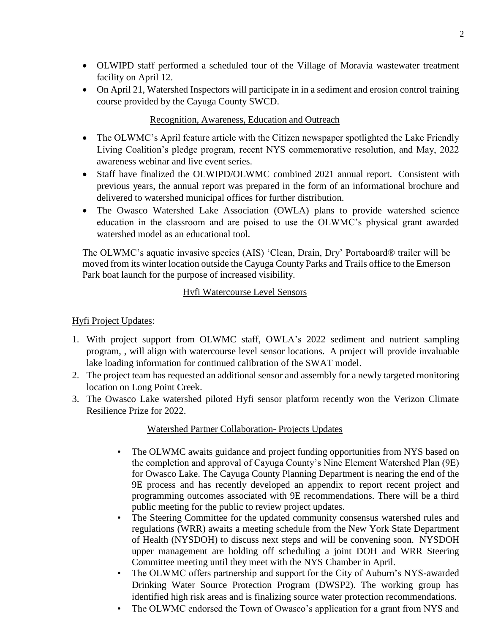- OLWIPD staff performed a scheduled tour of the Village of Moravia wastewater treatment facility on April 12.
- On April 21, Watershed Inspectors will participate in in a sediment and erosion control training course provided by the Cayuga County SWCD.

## Recognition, Awareness, Education and Outreach

- The OLWMC's April feature article with the Citizen newspaper spotlighted the Lake Friendly Living Coalition's pledge program, recent NYS commemorative resolution, and May, 2022 awareness webinar and live event series.
- Staff have finalized the OLWIPD/OLWMC combined 2021 annual report. Consistent with previous years, the annual report was prepared in the form of an informational brochure and delivered to watershed municipal offices for further distribution.
- The Owasco Watershed Lake Association (OWLA) plans to provide watershed science education in the classroom and are poised to use the OLWMC's physical grant awarded watershed model as an educational tool.

The OLWMC's aquatic invasive species (AIS) 'Clean, Drain, Dry' Portaboard® trailer will be moved from its winter location outside the Cayuga County Parks and Trails office to the Emerson Park boat launch for the purpose of increased visibility.

## Hyfi Watercourse Level Sensors

# Hyfi Project Updates:

- 1. With project support from OLWMC staff, OWLA's 2022 sediment and nutrient sampling program, , will align with watercourse level sensor locations. A project will provide invaluable lake loading information for continued calibration of the SWAT model.
- 2. The project team has requested an additional sensor and assembly for a newly targeted monitoring location on Long Point Creek.
- 3. The Owasco Lake watershed piloted Hyfi sensor platform recently won the Verizon Climate Resilience Prize for 2022.

# Watershed Partner Collaboration- Projects Updates

- The OLWMC awaits guidance and project funding opportunities from NYS based on the completion and approval of Cayuga County's Nine Element Watershed Plan (9E) for Owasco Lake. The Cayuga County Planning Department is nearing the end of the 9E process and has recently developed an appendix to report recent project and programming outcomes associated with 9E recommendations. There will be a third public meeting for the public to review project updates.
- The Steering Committee for the updated community consensus watershed rules and regulations (WRR) awaits a meeting schedule from the New York State Department of Health (NYSDOH) to discuss next steps and will be convening soon. NYSDOH upper management are holding off scheduling a joint DOH and WRR Steering Committee meeting until they meet with the NYS Chamber in April.
- The OLWMC offers partnership and support for the City of Auburn's NYS-awarded Drinking Water Source Protection Program (DWSP2). The working group has identified high risk areas and is finalizing source water protection recommendations.
- The OLWMC endorsed the Town of Owasco's application for a grant from NYS and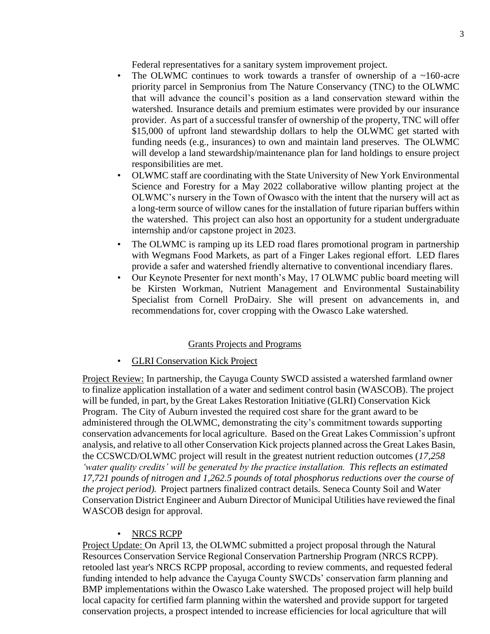Federal representatives for a sanitary system improvement project.

- The OLWMC continues to work towards a transfer of ownership of a  $\sim$ 160-acre priority parcel in Sempronius from The Nature Conservancy (TNC) to the OLWMC that will advance the council's position as a land conservation steward within the watershed. Insurance details and premium estimates were provided by our insurance provider. As part of a successful transfer of ownership of the property, TNC will offer \$15,000 of upfront land stewardship dollars to help the OLWMC get started with funding needs (e.g., insurances) to own and maintain land preserves. The OLWMC will develop a land stewardship/maintenance plan for land holdings to ensure project responsibilities are met.
- OLWMC staff are coordinating with the State University of New York Environmental Science and Forestry for a May 2022 collaborative willow planting project at the OLWMC's nursery in the Town of Owasco with the intent that the nursery will act as a long-term source of willow canes for the installation of future riparian buffers within the watershed. This project can also host an opportunity for a student undergraduate internship and/or capstone project in 2023.
- The OLWMC is ramping up its LED road flares promotional program in partnership with Wegmans Food Markets, as part of a Finger Lakes regional effort. LED flares provide a safer and watershed friendly alternative to conventional incendiary flares.
- Our Keynote Presenter for next month's May, 17 OLWMC public board meeting will be Kirsten Workman, Nutrient Management and Environmental Sustainability Specialist from Cornell ProDairy. She will present on advancements in, and recommendations for, cover cropping with the Owasco Lake watershed.

### Grants Projects and Programs

**GLRI Conservation Kick Project** 

Project Review: In partnership, the Cayuga County SWCD assisted a watershed farmland owner to finalize application installation of a water and sediment control basin (WASCOB). The project will be funded, in part, by the Great Lakes Restoration Initiative (GLRI) Conservation Kick Program. The City of Auburn invested the required cost share for the grant award to be administered through the OLWMC, demonstrating the city's commitment towards supporting conservation advancements for local agriculture. Based on the Great Lakes Commission's upfront analysis, and relative to all other Conservation Kick projects planned acrossthe Great Lakes Basin, the CCSWCD/OLWMC project will result in the greatest nutrient reduction outcomes (*17,258 'water quality credits' will be generated by the practice installation. This reflects an estimated 17,721 pounds of nitrogen and 1,262.5 pounds of total phosphorus reductions over the course of the project period).* Project partners finalized contract details. Seneca County Soil and Water Conservation District Engineer and Auburn Director of Municipal Utilities have reviewed the final WASCOB design for approval.

### • NRCS RCPP

Project Update: On April 13, the OLWMC submitted a project proposal through the Natural Resources Conservation Service Regional Conservation Partnership Program (NRCS RCPP). retooled last year's NRCS RCPP proposal, according to review comments, and requested federal funding intended to help advance the Cayuga County SWCDs' conservation farm planning and BMP implementations within the Owasco Lake watershed. The proposed project will help build local capacity for certified farm planning within the watershed and provide support for targeted conservation projects, a prospect intended to increase efficiencies for local agriculture that will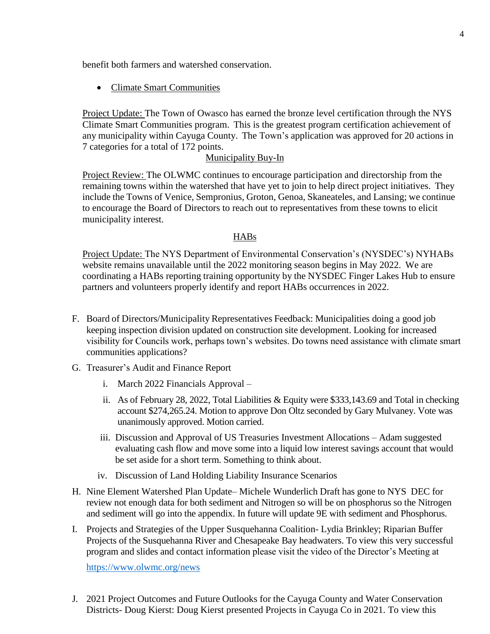benefit both farmers and watershed conservation.

Climate Smart Communities

Project Update: The Town of Owasco has earned the bronze level certification through the NYS Climate Smart Communities program. This is the greatest program certification achievement of any municipality within Cayuga County. The Town's application was approved for 20 actions in 7 categories for a total of 172 points.

#### Municipality Buy-In

Project Review: The OLWMC continues to encourage participation and directorship from the remaining towns within the watershed that have yet to join to help direct project initiatives. They include the Towns of Venice, Sempronius, Groton, Genoa, Skaneateles, and Lansing; we continue to encourage the Board of Directors to reach out to representatives from these towns to elicit municipality interest.

#### HABs

Project Update: The NYS Department of Environmental Conservation's (NYSDEC's) NYHABs website remains unavailable until the 2022 monitoring season begins in May 2022. We are coordinating a HABs reporting training opportunity by the NYSDEC Finger Lakes Hub to ensure partners and volunteers properly identify and report HABs occurrences in 2022.

- F. Board of Directors/Municipality Representatives Feedback: Municipalities doing a good job keeping inspection division updated on construction site development. Looking for increased visibility for Councils work, perhaps town's websites. Do towns need assistance with climate smart communities applications?
- G. Treasurer's Audit and Finance Report
	- i. March 2022 Financials Approval –
	- ii. As of February 28, 2022, Total Liabilities & Equity were \$333,143.69 and Total in checking account \$274,265.24. Motion to approve Don Oltz seconded by Gary Mulvaney. Vote was unanimously approved. Motion carried.
	- iii. Discussion and Approval of US Treasuries Investment Allocations Adam suggested evaluating cash flow and move some into a liquid low interest savings account that would be set aside for a short term. Something to think about.
	- iv. Discussion of Land Holding Liability Insurance Scenarios
- H. Nine Element Watershed Plan Update– Michele Wunderlich Draft has gone to NYS DEC for review not enough data for both sediment and Nitrogen so will be on phosphorus so the Nitrogen and sediment will go into the appendix. In future will update 9E with sediment and Phosphorus.
- I. Projects and Strategies of the Upper Susquehanna Coalition- Lydia Brinkley; Riparian Buffer Projects of the Susquehanna River and Chesapeake Bay headwaters. To view this very successful program and slides and contact information please visit the video of the Director's Meeting at

<https://www.olwmc.org/news>

J. 2021 Project Outcomes and Future Outlooks for the Cayuga County and Water Conservation Districts- Doug Kierst: Doug Kierst presented Projects in Cayuga Co in 2021. To view this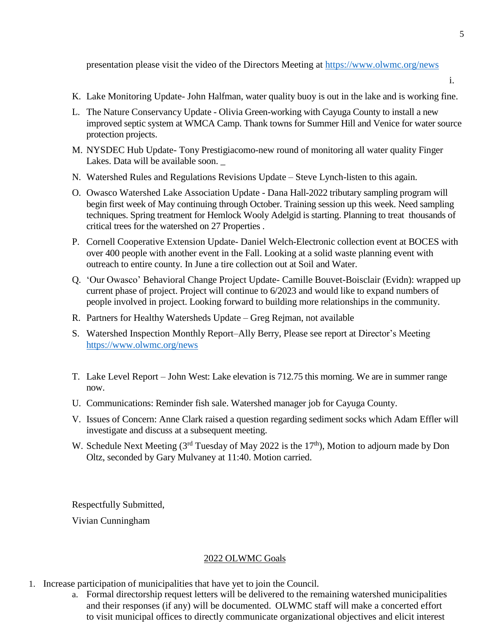presentation please visit the video of the Directors Meeting at <https://www.olwmc.org/news>

- i.
- K. Lake Monitoring Update- John Halfman, water quality buoy is out in the lake and is working fine.
- L. The Nature Conservancy Update Olivia Green-working with Cayuga County to install a new improved septic system at WMCA Camp. Thank towns for Summer Hill and Venice for water source protection projects.
- M. NYSDEC Hub Update- Tony Prestigiacomo-new round of monitoring all water quality Finger Lakes. Data will be available soon.
- N. Watershed Rules and Regulations Revisions Update Steve Lynch-listen to this again.
- O. Owasco Watershed Lake Association Update Dana Hall-2022 tributary sampling program will begin first week of May continuing through October. Training session up this week. Need sampling techniques. Spring treatment for Hemlock Wooly Adelgid is starting. Planning to treat thousands of critical trees for the watershed on 27 Properties .
- P. Cornell Cooperative Extension Update- Daniel Welch-Electronic collection event at BOCES with over 400 people with another event in the Fall. Looking at a solid waste planning event with outreach to entire county. In June a tire collection out at Soil and Water.
- Q. 'Our Owasco' Behavioral Change Project Update- Camille Bouvet-Boisclair (Evidn): wrapped up current phase of project. Project will continue to 6/2023 and would like to expand numbers of people involved in project. Looking forward to building more relationships in the community.
- R. Partners for Healthy Watersheds Update Greg Rejman, not available
- S. Watershed Inspection Monthly Report–Ally Berry, Please see report at Director's Meeting <https://www.olwmc.org/news>
- T. Lake Level Report John West: Lake elevation is 712.75 this morning. We are in summer range now.
- U. Communications: Reminder fish sale. Watershed manager job for Cayuga County.
- V. Issues of Concern: Anne Clark raised a question regarding sediment socks which Adam Effler will investigate and discuss at a subsequent meeting.
- W. Schedule Next Meeting ( $3<sup>rd</sup>$  Tuesday of May 2022 is the 17<sup>th</sup>), Motion to adjourn made by Don Oltz, seconded by Gary Mulvaney at 11:40. Motion carried.

Respectfully Submitted, Vivian Cunningham

#### 2022 OLWMC Goals

- 1. Increase participation of municipalities that have yet to join the Council.
	- a. Formal directorship request letters will be delivered to the remaining watershed municipalities and their responses (if any) will be documented. OLWMC staff will make a concerted effort to visit municipal offices to directly communicate organizational objectives and elicit interest